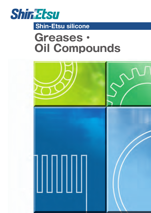

# **Shin-Etsu silicone**

# *Greases・ Oil Compounds*

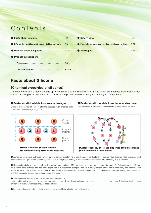# Contents

| $\bullet$ Information on Silicone Greases $\cdot$ Oil Compounds $\cdots$ P.3 | <b>Precautions concerning handling, safety and hygiene</b> $\cdots$ P.22 |  |
|------------------------------------------------------------------------------|--------------------------------------------------------------------------|--|
|                                                                              |                                                                          |  |
| ● Product introductions                                                      |                                                                          |  |
|                                                                              |                                                                          |  |
| 2. Oil compounds $\cdots$ P.14 $\sim$                                        |                                                                          |  |

### Facts about Silicone

### **【Chemical properties of silicones】**

The main chain of a silicone is made up of inorganic siloxane linkages (Si-O-Si), to which are attached side chains which contain organic groups. Silicones are a sort of hybrid polymer with both inorganic and organic components.

#### ■**Features attributable to siloxane linkages**

Silicones have a "backbone" of siloxane linkages, with attached side chains which contain organic groups.



The molecules of dimethyl silicone exhibit a twisted, helical structure.



●Compared to organic polymers, which have a carbon skeleton (C-C bond energy: 85 kcal/mol), silicones have superior heat resistance and weatherability (UV light, ozone resistance). This is due to the greater stability of siloxane bonds, which have a bond energy of 106 kcal/mol.

● Siloxane bonds have a bond length of 1.64 Å and bond angle of 134°. Compared to carbon bonds (bond distance: 1.54 Å, bond angle: 110°), they have a long bond distance and high bond angle, and a low rotational energy barrier. As a result, siloxane bonds move more freely and intermolecular forces are weak. These characteristics manifest themselves in the features of silicone materials, which include softness, gas permeability, cold resistance, and little change in viscosity due to temperature changes.

● The backbone of dimethyl silicone exhibits a helical structure.

Hydrophobic methyl groups cover almost the entire surface of the silicone polymer molecules, and surface energy is low. This gives rise to unique properties including water repellency and easy release.

● Moreover, silicones are low-polarity polymers, so they exhibit minimal moisture absorption.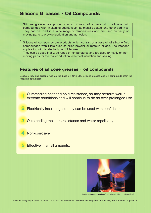## **Silicone Greases ・ Oil Compounds**

Silicone greases are products which consist of a base oil of silicone fluid compounded with thickening agents (such as metallic soaps) and other additives. They can be used in a wide range of temperatures and are used primarily on moving parts to provide lubrication and adhesion.

Silicone oil compounds are products which consist of a base oil of silicone fluid compounded with fillers such as silica powder or metallic oxides. The intended application will dictate the type of filler used.

They can be used in a wide range of temperatures and are used primarily on nonmoving parts for thermal conduction, electrical insulation and sealing.

### Features of silicone greases · oil compounds

Because they use silicone fluid as the base oil, Shin-Etsu silicone greases and oil compounds offer the following advantages.

Outstanding heat and cold resistance, so they perform well in extreme conditions and will continue to do so over prolonged use.

*2* Electrically insulating, so they can be used with confidence.

*3* Outstanding moisture resistance and water repellency.

*4* Non-corrosive.

*1*

**5** Effective in small amounts.



Heat resistance comparison (Left: mineral oil Right: silicone fluid)

*※*Before using any of these products, be sure to test beforehand to determine the product's suitability to the intended application.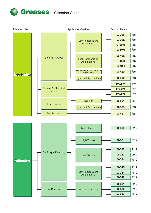

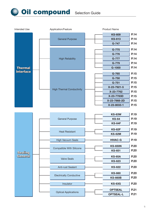**Oil compound** Selection Guide

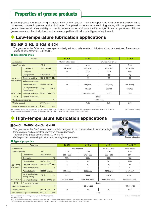# Properties of grease products

Silicone greases are made using a silicone fluid as the base oil. This is compounded with other materials such as thickeners, oiliness improvers and antioxidants. Compared to common mineral oil greases, silicone greases have greater thermo-oxidative stability and moisture resistance, and have a wider range of use temperatures. Silicone greases are also chemically inert, and so are compatible with almost all types of equipment.

# **Low-temperature lubrication applications**

### **■G-30F G-30L G-30M G-30H**

The greases in the G-30 series were specially designed to provide excellent lubrication at low temperatures. There are four grades of consistency : F, L, M and H.

#### **Typical properties**

|                         | Parameter                                                 |                                             | <b>G-30F</b>        | <b>G-30L</b>    | $G-30M$              | $G-30H$     |  |
|-------------------------|-----------------------------------------------------------|---------------------------------------------|---------------------|-----------------|----------------------|-------------|--|
| Appearance              |                                                           |                                             | Grayish white paste |                 | Grayish white grease |             |  |
| Specific gravity        |                                                           | $25^{\circ}$ C                              | 0.99<br>0.99        |                 | 1.00                 | 0.99        |  |
|                         | Consistency                                               | 25°C/worked                                 | $340 - 400$         | $280 - 320$     | $240 - 280$          | $200 - 240$ |  |
|                         | Drop point                                                | $\rm ^{\circ}C$                             |                     | $200+$          | $200+$               | $200+$      |  |
|                         | Oil separation                                            | $\frac{9}{6}$<br>150°C×100h                 |                     | 5.7             | 2.3                  | 0.5         |  |
| <b>JIS K2220</b>        | Oxidative stability                                       | $150^{\circ}$ C $\times$ 50h $^{*1}$<br>kPa |                     | 30              | 30                   | 30          |  |
| <b>Test method</b>      | Moisture resistance                                       | $\frac{9}{6}$                               |                     | ٩               |                      |             |  |
|                         | Worked stability                                          | 100,000 strokes                             |                     | 400 (max.)      | 400 (max.)           | 400 (max.)  |  |
|                         | Low-temperature torque<br>(Starting/Running)              | $-60^{\circ}$ C<br>$mN$ m                   |                     | 107/31          | 266/93               | 329/122     |  |
| <b>MIL-L15719A</b>      | Low-temperature torque -60°C                              | $2000$ q-cm                                 |                     | Less than 1 sec | 1 sec                | 1 sec       |  |
| <b>BTB</b>              | Free acid or free alkali                                  |                                             |                     | Neutral         |                      |             |  |
|                         | Use temperature range                                     | $\rm ^{\circ}C$                             |                     | $-60$ to $+180$ |                      |             |  |
| <b>Volatile content</b> |                                                           | %<br>150°C×100h                             |                     | 0.35            | 0.41                 | 0.35        |  |
|                         | Low-molecular-weight siloxane content $\Sigma D_3-D_{10}$ | ppm                                         | $≤100$              |                 |                      |             |  |

\*1 The oxidative stability test conditions prescribed in JIS K 2220 indicate 99°C×100 hours, but in this case measurement was done at 150°C×50 h. (Not specified values) ※G-30 greases are suitable for speed factors (bearing bore in mm \_ bearing shaft speed in rpm) up to 200,000.

# **High-temperature lubrication applications**

### **■G-40L G-40M G-40H G-420**

The greases in the G-40 series were specially designed to provide excellent lubrication at high temperatures, and are ideal for lubrication of sealed bearings.



G-420 provides outstanding lubrication at very high temperatures.

Bearing lubrication

#### **Typical properties**

| Parameter                                |                                                           |                                             | <b>G-40L</b>     | <b>G-40M</b>     | $G-40H$          | G-420 *1         |  |
|------------------------------------------|-----------------------------------------------------------|---------------------------------------------|------------------|------------------|------------------|------------------|--|
| Appearance                               |                                                           |                                             | Beige grease     |                  | Brown grease     | White grease     |  |
| Specific gravity                         |                                                           | $25^{\circ}$ C                              | 1.06             | 1.05             | 1.06             | 1.10             |  |
|                                          | Consistency                                               | 25°C/worked                                 | $280 - 320$      | $240 - 280$      | $200 - 240$      | 281              |  |
|                                          | Drop point                                                | $\rm ^{\circ}C$                             | $200+$           | $200+$           | $200+$           | $250+$           |  |
|                                          | Oil separation                                            | %<br>150°C×100h                             | 8.9              | 5.9              | 3.0              | $5.7*2$          |  |
| <b>JIS K2220</b>                         | Oxidative stability                                       | $150^{\circ}$ C $\times$ 50h $^{*3}$<br>kPa | 10               | 10               | 10               |                  |  |
| Test method                              | Moisture resistance<br>%                                  |                                             |                  |                  |                  |                  |  |
|                                          | Worked stability                                          | 100,000 strokes                             | 400 (max.)       | 360 (max.)       | 320 (max.)       | 310 (max.)       |  |
|                                          | Low-temperature torque<br>(Starting/Running)              | $-20^{\circ}$ C<br>$mN$ m                   | 66/29            | 83/46            | 117/57           | 41/25            |  |
| MIL-L15719A                              | Low-temperature torque                                    | 2000 g-cm<br>$-20^{\circ}$ C                | Less than 5 sec. | Less than 5 sec. | Less than 5 sec. | Less than 5 sec. |  |
| <b>BTB</b>                               | Free acid or free alkali                                  |                                             |                  | Neutral          |                  |                  |  |
| $\rm ^{\circ}C$<br>Use temperature range |                                                           |                                             |                  | $-30$ to $+200$  |                  | $-30$ to $+250$  |  |
| %<br>150°C×100h<br>Volatile content      |                                                           |                                             | 0.3<br>0.4       |                  | 0.3              | $0.3*2$          |  |
|                                          | Low-molecular-weight siloxane content $\Sigma D_3-D_{10}$ | ppm                                         | ≤100             |                  |                  |                  |  |

<sup>\*</sup>1 For information on safety, see page 22 (Safety & hygiene). (Not specified values)

\*2 200°C×24h

\*3 The oxidative stability test conditions prescribed in JIS K 2220 indicate 99°C×100 h, but in this case measurement was done at 150°C×50 h.

※G-40 greases are suitable for speed factors (bearing bore in mm \_ bearing shaft speed in rpm) up to 200,000.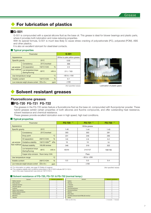# **For lubrication of plastics**

#### **■G-501**

G-501 is compounded with a special silicone fluid as the base oil. This grease is ideal for blower bearings and plastic parts, where it provides both lubrication and noise reducing properties.

With its special formula, G-501 is much less likely to cause stress cracking of polycarbonate (PC), polyacetal (POM), ABS and other plastics.

It is also an excellent lubricant for steel/steel contacts.

#### **Typical properties**

|                         | Parameter                                                 | $G - 501$                    |             |                             |
|-------------------------|-----------------------------------------------------------|------------------------------|-------------|-----------------------------|
| Appearance              |                                                           |                              |             | White to pale yellow grease |
| Specific gravity        |                                                           | $25^{\circ}$ C               |             | 0.92                        |
|                         | Consistency                                               | 25°C/worked                  |             | 306                         |
| <b>JIS K2220</b>        | Oil separation                                            | $150^{\circ}$ C $\times$ 24h | $\%$        | 2.5                         |
| Test method             | Low-temperature torque<br>(Starting/Running)              | $-50^{\circ}$ C              | $mN$ m      | 211/103                     |
|                         | Use temperature range                                     |                              | $^{\circ}C$ | $-50$ to $+150$             |
| <b>Volatile content</b> |                                                           | 150°C×24h                    | %           | 0.1                         |
|                         | Low-molecular-weight siloxane content $\Sigma D_3-D_{10}$ |                              | ppm         | $≤100$                      |
|                         |                                                           |                              |             | (Not specified values)      |



Lubrication of plastic gears

# Solvent resistant greases

#### **Fluorosilicone greases**

#### **■FG-720 FG-721 FG-722**

The greases in the FG-720 series feature a fluorosilicone fluid as the base oil, compounded with fluoropolymer powder. These hybrid greases exhibit certain properties of both silicones and fluorine compounds, and offer outstanding heat resistance, solvent resistance and chemical resistance.

These greases provide excellent lubrication even in high speed, high load conditions.

#### **Typical properties**

|                                                | Parameter                                                   |                                               | $*1$<br><b>FG-720</b> | FG-721 *1       | FG-722 *1 |  |  |
|------------------------------------------------|-------------------------------------------------------------|-----------------------------------------------|-----------------------|-----------------|-----------|--|--|
| Appearance                                     |                                                             |                                               | White grease          |                 |           |  |  |
| Specific gravity                               |                                                             | $25^{\circ}$ C                                | 1.40                  | 1.44<br>1.43    |           |  |  |
|                                                | Consistency                                                 | 25°C/worked                                   | 303                   | 303             | 281       |  |  |
|                                                | Drop point                                                  | $^{\circ}C$                                   | 231                   | 246             | 295       |  |  |
|                                                | Oil separation                                              | $\frac{0}{0}$<br>$200^{\circ}$ C $\times$ 24h | 3.9                   | 2.6             | 0.2       |  |  |
| <b>JIS K2220</b>                               | Oxidative stability                                         | 150°C×50h <sup>*2</sup><br>kPa                | 10                    | 10              | 10        |  |  |
| Test method                                    | Worked stability                                            | 100,000 strokes                               | 346                   | 319             | 322       |  |  |
|                                                | Low-temperature torque<br>(Starting/Running)                | $-30^{\circ}$ C<br>$mN$ m                     | 63/44                 | 214/127         | 199/185   |  |  |
|                                                | Copper strip corrosion Room temp.×24h                       |                                               | Pass                  |                 |           |  |  |
| $^{\circ}$ C<br>Use temperature range          |                                                             |                                               |                       | $-30$ to $+200$ |           |  |  |
| 200°CX24h<br>Volatile content<br>$\frac{0}{6}$ |                                                             |                                               | 0.3                   | 0.5             | 0.4       |  |  |
|                                                | Low-molecular-weight siloxane content $\Sigma D_3 - D_{10}$ | ppm                                           |                       | $≤100$          |           |  |  |

\*1 For information on safety, see page 22 (Safety & hygiene).

\*2 The oxidative stability test conditions prescribed in JIS K 2220 indicate 99°C×100 h, but in this case measurement was done at 150°C×50 h.

#### ■ **Solvent resistance of FG-720, FG-721 & FG-722 (normal temp.)**

| Solvent                | Solvent resistance |               |
|------------------------|--------------------|---------------|
| Methyl alcohol         |                    | Xylene        |
| Ethyl alcohol          |                    | Styrene       |
| Isopropyl alcohol      |                    | n-hexan       |
| Ethylene glycol        |                    | Keroser       |
| Acetone                | $\times$           | Perchlor      |
| Methyl ethyl ketone    | $\times$           | Dichlord      |
| Methyl isobutyl ketone | $\times$           | <b>Butane</b> |
| Tetrahydrofran         | $\times$           | Ethyl etl     |
| Benzene                |                    | Dimethy       |
| <b>Toluene</b>         |                    | Water         |
|                        |                    |               |

| Solvent resistance | Solvent                                   | Solvent resistance         |
|--------------------|-------------------------------------------|----------------------------|
|                    | Xylene                                    |                            |
|                    | Styrene                                   |                            |
|                    | n-hexane                                  |                            |
|                    | Kerosene                                  |                            |
| $\times$           | Perchloroethylene                         |                            |
| ×                  | Dichloromethane                           | ×                          |
| $\times$           | <b>Butane</b>                             |                            |
| ×                  | Ethyl ether                               | $\times$                   |
|                    | Dimethyl silicone fluid KF96 (20 mm2/s) * |                            |
|                    | Water                                     |                            |
|                    | *Mfd. by Shin-Ftsu                        | X:Soluble<br>∩:Insoluble : |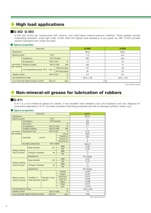# **High load applications**

### **■G-302 G-503**

G-302 and G-503 are compounded with chlorine- and sulfur-based extreme-pressure additives. These greases provide outstanding lubrication under high loads. G-302 offers the highest load resistance of any grade we offer. G-503 provides superior lubrication even under low loads.

#### ■ Typical properties

|                                                                       | Parameter                         |                |                        | $G - 302$       | G-503           |
|-----------------------------------------------------------------------|-----------------------------------|----------------|------------------------|-----------------|-----------------|
| Appearance                                                            |                                   |                |                        | White           | Yellow          |
| Specific gravity                                                      |                                   | $25^{\circ}$ C |                        | 1.13<br>0.97    |                 |
|                                                                       | Consistency                       |                | 25°C/worked            | 280             | 294             |
|                                                                       | Oil separation                    | 150°C×24h      | %                      | 1.2             | 2.2             |
| <b>JIS K2220</b>                                                      | Oxidative stability               |                | kPa<br>99°C×100h       | 400             | 10              |
| Test method                                                           |                                   |                | <b>Starting torque</b> | 107             | 122             |
|                                                                       | Low-temperature torque -40°C mN m |                | <b>Running torque</b>  | 28              | 52              |
| Volatile content                                                      |                                   | 150°C×24h      | $\frac{0}{6}$          | 0.3             | 0.5             |
| $^{\circ}C$<br>Use temperature range                                  |                                   |                |                        | $-60$ to $+180$ | $-50$ to $+150$ |
| $\Sigma D_3 - D_{10}$<br>Low-molecular-weight siloxane content<br>ppm |                                   |                |                        | $≤100$          |                 |

(Not specified values)

# Non-mineral-oil grease for lubrication of rubbers

### **■G-411**

G-411 is a non-mineral-oil grease for rubbers. It has excellent heat resistance and cold resistance and was designed for automotive applications. G-411 provides consistent lubricating properties and will not damage synthetic rubber cups.

#### **Typical properties**

|                       |                   | Parameter                             | $G - 411$          |                 |                 |  |
|-----------------------|-------------------|---------------------------------------|--------------------|-----------------|-----------------|--|
| Appearance            |                   |                                       |                    |                 | <b>Brown</b>    |  |
| Specific gravity      |                   |                                       | 1.1                |                 |                 |  |
|                       |                   | Consistency                           | 25°C/worked        |                 | 303             |  |
|                       | Drop point        |                                       |                    | $\rm ^{\circ}C$ | 229             |  |
|                       |                   | Oil separation                        | 150°C×100h         | $\frac{0}{0}$   | 5.1             |  |
|                       |                   | Oxidative stability                   | 100°C×100h         | kPa             | $\overline{7}$  |  |
| <b>JIS K2220</b>      |                   | <b>Evaporation loss</b>               | 100°C×22h          | $\frac{9}{6}$   | 0.18            |  |
| <b>Test method</b>    |                   |                                       |                    | $\geq$ 10 µm    | 2930            |  |
|                       | <b>Impurities</b> |                                       | pc/cm <sup>3</sup> | Over25 µm       | 220             |  |
|                       |                   |                                       |                    | Over75 µm       | 0               |  |
|                       |                   |                                       |                    | Over125 µm      | $\Omega$        |  |
|                       |                   | Humidity cabinet test                 | 50°C×500h          |                 | Class A         |  |
|                       |                   | <b>Base diameter</b>                  | mm                 | <b>SBR</b>      | $+0.06$         |  |
| Rubber swelling       |                   |                                       |                    | N <sub>R</sub>  | $+0.28$         |  |
| 70±2°C/120±2h         |                   | Change in hardness                    | <b>Hs</b>          | <b>SBR</b>      | $-2$            |  |
|                       |                   |                                       |                    | N <sub>R</sub>  | $-4$            |  |
|                       |                   | Appearance                            |                    | No change       |                 |  |
|                       |                   | <b>Base diameter</b>                  | mm                 | <b>SBR</b>      | $+0.07$         |  |
| Rubber swelling       |                   |                                       |                    | <b>NR</b>       | $+0.42$         |  |
| 120±2℃/70±2h          |                   | Change in hardness                    | Hs                 | <b>SBR</b>      | $-3$            |  |
|                       |                   |                                       |                    | N <sub>R</sub>  | $-11$           |  |
|                       |                   | Appearance                            |                    |                 | No change       |  |
|                       |                   |                                       |                    | Tinplate        | $+0.004$        |  |
|                       |                   |                                       |                    | Copper          | $+0.007$        |  |
| Metal corrosion       |                   | Condition of                          | Change in mass     | Aluminum        | $+0.010$        |  |
| 100±2℃/120±2h         |                   | metal test strip                      | mg/cm <sup>3</sup> | Cast iron       | $+0.058$        |  |
|                       |                   |                                       |                    | <b>Brass</b>    | $+0.008$        |  |
|                       |                   |                                       |                    | <b>Steel</b>    | $+0.012$        |  |
|                       |                   |                                       |                    | Zinc            | $+0.015$        |  |
| Use temperature range |                   |                                       |                    | $\circ$ C       | $-30$ to $+200$ |  |
| Volatile content      |                   |                                       | 150°C×100h         | $\frac{0}{6}$   | 1.4             |  |
|                       |                   | Low-molecular-weight siloxane content | $≤100$             |                 |                 |  |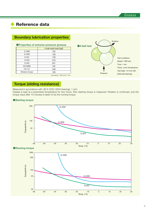# **Reference data**

|                  | <b>DOUTIONLY INDITIONITY DRIVING</b>     |                          |                          |
|------------------|------------------------------------------|--------------------------|--------------------------|
|                  | ● Properties of extreme-pressure greases | Rotation<br>●4-ball test |                          |
|                  | 4-ball weld load (kgf)                   |                          |                          |
| $G-30M$          | 102                                      |                          |                          |
| $G-40M$          | 126                                      |                          |                          |
| $G-501$          | 158                                      |                          | <b>Test conditions</b>   |
| G-503            | 316                                      |                          | Speed: 1500 rpm          |
| G-302            | 501                                      |                          | Time: 1 min              |
| <b>KS-660B</b>   | 148                                      |                          |                          |
| FG-721           | 348                                      |                          | Temp.: room temperature  |
| Mineral oil type | 183                                      |                          | Test balls: 1/2 inch DIA |
|                  | kgf values: 1500 rpm/1 min.              | Pressure                 | Steel ball bearings      |

### **Boundary lubrication properties**

# **Torque (sliding resistance)**

Measured in accordance with JIS K 2220. 6204 bearings, 1 rpm.

Grease is kept at a prescribed temperature for two hours, then starting torque is measured. Rotation is continued, and the torque value after 10 minutes is taken to be the running torque.

#### ●**Starting torque**



●**Running torque**

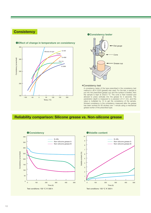### **Consistency**





A consistency tester of the type prescribed in the consistency test method in JIS K 2220 (grease) was used. For the test, a sample is put into the prescribed grease cup and the surface is leveled, then the sample is kept at 25±0.5 °C. The cone is then lowered and allowed to press vertically into the grease for 5 seconds. The penetration depth is measured to a precision of 0.1 mm, and this value is multiplied by 10 to get the consistency of the sample. Worked consistency is the consistency measured after the grease has been worked for 60 strokes over 1 minute using a mechanical grease worker of the prescribed type.

### **Reliability comparison: Silicone grease vs. Non-silicone grease**

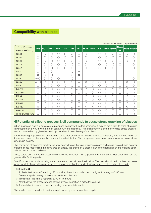### **Compatibility with plastics**

| Plastic name                        | <b>ABS</b>            | <b>POM PBT</b> |            | <b>PVC</b> | <b>PS</b>            | <b>PP</b>               | <b>PC</b>                 |                   | <b>HIPS PMMA</b> | <b>AS</b>  |            | ASGF Nylon 6 | <b>Nylon</b> |            | <b>Nory Duranex</b> |
|-------------------------------------|-----------------------|----------------|------------|------------|----------------------|-------------------------|---------------------------|-------------------|------------------|------------|------------|--------------|--------------|------------|---------------------|
| Product name                        |                       |                |            |            |                      |                         |                           |                   |                  |            |            |              | 66           |            |                     |
| G-330                               | $\bigcirc$            | C              | О          | €          | $\left(\cdot\right)$ | ೧                       | О                         | $\bigcirc$        |                  | О          | $(\ )$     | ( )          | $\bigcirc$   | О          | O                   |
| G-332                               | $\bigcirc$            | С              | $\bigcirc$ | O          | $\bigcirc$           | 0                       | ()                        | $\left(\ \right)$ |                  | C          | O          | $\bigcirc$   | О            | $\bigcirc$ | $\bigcirc$          |
| G-334                               | $\bigcirc$            | C              | $\bigcirc$ | О          | О                    | O                       | О                         | $\bigcirc$        |                  | Ć          | $\bigcirc$ | $\bigcirc$   | O            | $\bigcirc$ | $\bigcirc$          |
| $G - 340$                           | $\bigcirc$            | C              | $\bigcirc$ | O          | $(\ )$               | C                       | O                         | О                 |                  | С          | ∩          | $\bigcirc$   | Ō            |            | $\bigcirc$          |
| $G - 342$                           | $\bigcirc$            | С              | $\bigcirc$ | O          | ∩                    | 0                       | ○                         | $\bigcirc$        |                  | C          | ∩          | ∩            | О            |            | O                   |
| G-631                               | $\bigcirc$            | C              | $\bigcirc$ |            |                      | C                       | $\triangle$               |                   |                  |            |            |              |              |            |                     |
| G-632                               | $\times$              | C              | $\bigcirc$ |            |                      | €                       | $\times$                  |                   |                  |            |            |              |              |            |                     |
| G-30M                               | ∆∼∩                   | О              | $\bigcirc$ | O          |                      | О                       |                           |                   |                  |            |            |              |              |            | $\bigcirc$          |
| G-40M                               | $\triangle \sim \cap$ | C              | $\bigcirc$ | О          | O                    | $\Box$                  | $\triangle$               | $\times$          | $\times$         | $\bigcirc$ | $\bigcirc$ | $\bigcirc$   | О            | $\times$   | $\bigcirc$          |
| $G-501$                             | О                     | C              | О          | O          | ∩                    | ◯                       | ∩                         | ()                | $\bigcirc$       | С          | ∩          | $\bigcirc$   | Ō            | $\bigcirc$ | $\bigcirc$          |
| <b>FG-720</b>                       | О                     | C              | $\bigcirc$ | O          | ∩                    | ∩                       | $\triangle \sim \bigcirc$ | ∩                 | С                | С          | O          | О            | О            | О          | $\bigcirc$          |
| <b>KS-63W</b>                       | $\bigcirc$            | C              | $\bigcirc$ | O          | O                    | $\bigcirc$              | ( )                       | ( )               | C                | C          | O          | $\bigcirc$   | O            | $\bigcirc$ | $\bigcirc$          |
| <b>KS-64</b>                        | $\bigcirc$            | Ć              | $\bigcirc$ | O          | ◯                    | 0                       | $\bigcirc$                | O                 | $\bigcirc$       | С          | ∩          | O            | O            | $\bigcirc$ | $\bigcirc$          |
| <b>KS-65A</b>                       | $\bigcirc$            | C              | $\bigcirc$ | O          | $\bigcirc$           | O                       | О                         | $\bigcirc$        | $\bigcirc$       | C          | $\bigcirc$ | $\bigcirc$   | О            | $\bigcirc$ | $\bigcirc$          |
| <b>KS-660</b>                       | Ć                     | C              | $\bigcirc$ | О          | O                    | €                       | Ō                         | $\bigcirc$        | $\bigcirc$       | Ć          | О          | $\bigcirc$   | О            | $\bigcirc$ | $\bigcirc$          |
| <b>KS-62M</b>                       | $\times$              | С              | О          | O          | ()                   | . .                     | $\triangle$               | $\triangle$       | $\times$         | С          | О          | $\bigcirc$   | C            | $\times$   | $\bigcirc$          |
| <b>HIVAC-G</b>                      | $\bigcirc$            | C              | $\bigcirc$ | О          | $\bigcirc$           | $\Box$                  | ○                         | ∩                 | С                | C          | О          | $\bigcirc$   | О            | $\bigcirc$ | $\bigcirc$          |
| KF-96H-200,000CS mm <sup>2</sup> /s | Ō                     | ◯              | $\bigcirc$ | С          | ͡                    | $\widehat{\phantom{a}}$ | $\left( \quad \right)$    | $(\quad)$         | ◯                | C          | ∩          | С            | ◯            | O          | $\bigcirc$          |

#### ○ **No effect △ Mild effects**  $X$  **· Significant effects**

#### **●Potential of silicone greases & oil compounds to cause stress cracking of plastics**

When a stressed plastic is subjected to prolonged contact with certain chemicals, it may be more likely to crack at a much lower load than it would were it not in contact with the chemical. This phenomenon is commonly called stress cracking, and is characterized by glass-like cracking, usually with no whitening of the plastic.

Stress cracking of plastics can be a function of several factors which include stress, temperature, time and chemicals. Of these, exposure to chemicals is the most important factor. Silicone greases have also been known to cause stress cracking in plastics.

The particulars of the stress cracking will vary depending on the type of silicone grease and plastic involved. And even for molded pieces made using the same type of plastic, the effects of a grease may differ depending on the molding strain, orientation and other conditions.

Thus, before using a silicone grease where it will be in contact with a plastic, it is important to first determine how the grease will affect the plastic.

Shin-Etsu tests its products using the experimental method described below. The user should perform their own tests which simulate the conditions of actual use to make sure that the product will not cause problems when it is used.

#### 【Test method】

- 1. A plastic test strip (140 mm long, 25 mm wide, 3 mm thick) is clamped in a jig set to a length of 130 mm.
- 2. Grease is applied evenly to the convex surface of the strip.
- 3. In this state, the strip is heated at 80°C for 16 hours.
- 4. After heating, the grease is wiped off and a visual inspection is made for cracking.
- 5. A visual check is done to look for cracking or surface deterioration.

The results are compared to those for a strip to which grease has not been applied.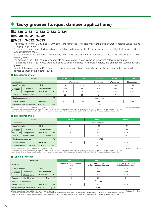# **Tacky greases (torque, damper applications)**

### **■G-330 G-331 G-332 G-333 G-334**

### **■G-340 G-341 G-342**

#### **■G-631 G-632 G-633**

The products in the G-330 and G-340 series are highly tacky greases that exhibit little change in torque values due to changing temperatures.

These greases can be applied to sliding and rotating parts in a variety of equipment, where their high tackiness provides a superior damping effect.

G-330 has medium shear resistance (torque), while G-331 has high shear resistance. G-332, G-333 and G-334 are lowtorque greases.

The greases in the G-340 series are specially formulated to ensure stable physical properties at low temperatures.

The greases in the G-631 series were developed as bearing greases for variable resistors, and can also be used as damping greases.

Note that the greases in the G-631 series are made using non-silicone base oils, and so the use temperature range will not be as wide as those of the other products.

#### **Typical properties**

| Parameter                                                             |                                                                        |           |                             | G-330           | $G - 331$ | $G-332$     | $G - 333$    | $G - 334$              |
|-----------------------------------------------------------------------|------------------------------------------------------------------------|-----------|-----------------------------|-----------------|-----------|-------------|--------------|------------------------|
| Appearance                                                            |                                                                        |           |                             | White grease    |           | Blue grease | White grease | Blue grease            |
| $25^{\circ}$ C<br>Specific gravity                                    |                                                                        |           | 1.15                        | 1.15            | 1.12      | 1.11        | 1.08         |                        |
| <b>JIS K2220</b>                                                      | 25°C/unworked<br>Consistency                                           |           |                             | 285             | 305       | 307         | 304          | 250                    |
| Test method                                                           | Oil separation                                                         | 105°C×24h | $\frac{9}{6}$               | 0.01            | 0.01      | 0.12        | 0.38         | 0.36                   |
| Torque                                                                | After 50 turns                                                         |           | $N \cdot m \times 10^{-4*}$ | 23              | 34        | 9           |              | 5                      |
|                                                                       | Use temperature range                                                  |           | $^{\circ}C$                 | $-30$ to $+150$ |           |             |              |                        |
| %<br>105°C×24h<br>Volatile content                                    |                                                                        |           | 0.05                        | 0.05            | 0.06      | 0.06        | 0.06         |                        |
| Low-molecular-weight siloxane content<br>$\Sigma D_3 - D_{10}$<br>ppm |                                                                        |           |                             | $≤100$          |           |             |              |                        |
|                                                                       | <b>WTorque meter: Torque Tester MDT2-AMP made by Shinmei Electric.</b> |           |                             |                 |           |             |              | (Not specified values) |

iX Torque meter: Torque Tester MDT2-AMP made by Shinmei Electric.<br>The sample is applied eventy to the shaft (4 mm DIA\_8 mm) and in the bearing clearance (35 μm). The shaft is then turned 50 times (1 turn=360°) by hand at

#### **Typical properties**

| Parameter                                                             |                       |                             |             | $G - 340$         | $G - 341$       | $G - 342$ |  |
|-----------------------------------------------------------------------|-----------------------|-----------------------------|-------------|-------------------|-----------------|-----------|--|
| Appearance                                                            |                       |                             |             | Paleyellow grease |                 |           |  |
| Specific gravity<br>$25^{\circ}$ C                                    |                       |                             |             | 1.01              | 1.02            | 1.04      |  |
| <b>JIS K2220</b>                                                      | Consistency           | 25°C/unworked               |             | 158               | 182             | 168       |  |
| Test method                                                           | Oil separation        | 105°C×24h                   | %           | 0.03              | 0.06            | 0.02      |  |
| Torque                                                                | After 50 turns        | $N \cdot m \times 10^{-4*}$ |             | 11                | 9               | 16        |  |
|                                                                       | Use temperature range |                             | $^{\circ}C$ |                   | $-40$ to $+100$ |           |  |
| $\frac{0}{6}$<br>105°C×24h<br>Volatile content                        |                       | 0.06                        | 0.08        | 0.07              |                 |           |  |
| $\Sigma D_3 - D_{10}$<br>Low-molecular-weight siloxane content<br>ppm |                       |                             |             | $≤100$            |                 |           |  |

※Torque meter: Torque Tester MDT2-AMP made by Shinmei Electric.

The sample is applied evenly to the shaft (4 mm DIA\_8 mm) and in the bearing clearance (35 μm). The shaft is then turned 50 times (1 turn=360°) by hand at a rate of 1 turn per<br>second. After 50 turns, the sample is loaded

#### ■ Typical properties

|                                                                       | Parameter      |                             |               | G-631                              | G-632                                          | $G - 633$                                         |  |
|-----------------------------------------------------------------------|----------------|-----------------------------|---------------|------------------------------------|------------------------------------------------|---------------------------------------------------|--|
| Appearance                                                            |                |                             |               | Creamy white translucent<br>grease | Colorless to pale<br>yellow transparent grease | Pale yellow to creamy<br>white translucent grease |  |
| Specific gravity                                                      |                | $25^{\circ}$ C              |               | 0.89                               | 0.98                                           | 0.87                                              |  |
| <b>JIS K2220</b>                                                      | Consistency    | 25°C/unworked               |               | 213                                | 228                                            | 235                                               |  |
| Test method                                                           | Oil separation | 105°C×24h                   | $\frac{9}{6}$ | 0.78                               | 0.02                                           | 0.04                                              |  |
| Torque                                                                | After 50 turns | $N \cdot m \times 10^{-4*}$ |               | 13                                 | 30                                             | 64                                                |  |
| $^{\circ}C$<br>Use temperature range                                  |                |                             |               |                                    | $0 to +80$                                     |                                                   |  |
| %<br>105°C×24h<br>Volatile content                                    |                |                             |               | 0.07                               | 0.06                                           | 0.07                                              |  |
| $\Sigma D_3 - D_{10}$<br>Low-molecular-weight siloxane content<br>ppm |                |                             |               | $≤100$                             |                                                |                                                   |  |

※Torque meter: Torque Tester MDT2-AMP made by Shinmei Electric.

The sample is applied evenly to the shaft (4 mm DIA\_8 mm) and in the bearing clearance (35 µm). The shaft is then turned 50 times (1 turn=360°) by hand at a rate of 1 turn per<br>second. After 50 turns, the sample is loaded i

(Not specified values)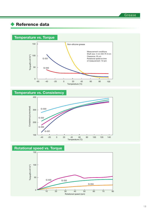# ◆ Reference data

### **Temperature vs. Torque**



### **Temperature vs. Consistency**



### **Rotational speed vs. Torque**

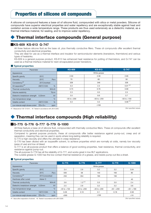# Properties of silicone oil compounds

A silicone oil compound features a base oil of silicone fluid, compounded with silica or metal powders. Silicone oil compounds have superior electrical properties and water repellency and are exceptionally stable against heat and oxidation across a wide temperature range. These products are thus used extensively as a dielectric material, as a thermal interface material, for sealing, and to improve water repellency.

# **Thermal interface compounds (General purpose)**

### **■KS-609 KS-613 G-747**

All three feature silicone fluid as the base oil, plus thermally conductive fillers. These oil compounds offer excellent thermal conductivity and electrical properties.

They are ideal for use as a thermal interface and insulator for semiconductor elements (transistors, thermistors) and various types of heatsinks.

KS-609 is a general purpose product, KS-613 has enhanced heat resistance for potting of thermistors, and G-747 can be used as a thermal interface material for resin-encapsulated power transistors.

#### ■ **Typical properties**

| Parameter                             |                              | <b>KS-609</b>   | <b>KS-613</b>   | G-747           |  |  |
|---------------------------------------|------------------------------|-----------------|-----------------|-----------------|--|--|
| Appearance                            |                              | White grease    |                 |                 |  |  |
| Specific gravity                      | $25^{\circ}$ C               | 2.50            | 2.36            | 2.65            |  |  |
| <b>Viscosity</b>                      | $25^{\circ}$ C<br>Pa·s       | 70              | 60              | 50              |  |  |
| Consistency <sup>*2</sup>             | 25°C/worked                  | 328             | 346             | 328             |  |  |
| Oil separation <sup>*2</sup>          | $\%$<br>200°C×24h            | 0.3             | 2.3             | $0.01 * 1$      |  |  |
| Thermal conductivity                  | W/m·K                        | 0.73            | 0.76            | 0.90            |  |  |
| Volume resistivity                    | $T\Omega \cdot m$            | 2.3             | 0.5             | 2.5             |  |  |
| Dielectric breakdown strength         | kV<br>$0.25$ mm              | 3.5             | 9.9             | 3.7             |  |  |
| Use temperature range                 | $^{\circ}$ C                 | $-55$ to $+200$ | $-50$ to $+250$ | $-50$ to $+150$ |  |  |
| Volatile content                      | %<br>200°C×24h               | 0.3             | 0.3             | $0.06 *1$       |  |  |
| Low-molecular-weight siloxane content | $\Sigma D_3 - D_{10}$<br>ppm |                 | $≤100$          |                 |  |  |

\*1 Measured at 120 °C×24 h. \*2 Tested in accordance with JIS K 2220.

(Not specified values)

# ◆ Thermal interface compounds (High reliability)

### **■G-775 G-776 G-777 G-779 G-1000**

All three feature a base oil of silicone fluid, compounded with thermally conductive fillers. These oil compounds offer excellent thermal conductivity and electrical properties.

Compared to general purpose products, these oil compounds offer better resistance against pump-out, creep and oil separation, meaning they can be used in spots where long-lasting reliability is required.

G-775 is high viscosity and offers the ultimate in creep resistance.

G-776 has been diluted with an isoparaffin solvent, to achieve properties which are normally at odds, namely low viscosity (ease of use) and low oil bleed.

G-777 is an all-purpose product that offers a balance of good working properties, heat resistance, thermal conductivity, and resistance against pump-out.

The all-purpose G-779 has all the reliability of G-777, and works great in low BLT applications.

The curable grease G-1000 has the low contact thermal resistance of a grease, and resists pump-out like a sheet.

#### ■ **Typical properties**

| Parameter                             |                              | G-775                    | G-776                    | G-777                    | G-779         | G-1000        |
|---------------------------------------|------------------------------|--------------------------|--------------------------|--------------------------|---------------|---------------|
| Appearance                            |                              |                          |                          | White grease             |               |               |
| Specific gravity                      | $25^{\circ}$ C               | 3.4                      | 2.9                      | 3.2                      | 3.2           | 3.04          |
| <b>Viscosity</b>                      | Pa·s<br>$25^{\circ}$ C       | 500                      | 58                       | 140                      | 160           | 80            |
| Consistency <sup>*2</sup>             | 25°C/unworked                | 250                      | 354                      | 190                      | 190           |               |
| Hardness after cured                  | Asker C                      | $\overline{\phantom{a}}$ | $\overline{\phantom{a}}$ | $\overline{\phantom{a}}$ | __            | 40            |
| Thermal conductivity                  | W/m·K                        | 3.6                      | $1.3*1$                  | 3.3                      | 3.0           | 2.4           |
| Dielectric breakdown strength         | kV<br>$0.25$ mm              | 2.5                      | 2.9                      | 3.2                      | 3.2           | 3.6           |
| Use temperature range                 | $^{\circ}$ C                 | $-40$ to $+150$          | $-40$ to $+200$          | $-40$ to $+200$          | $-40$ $-+200$ | $-40$ ~ + 180 |
| Volatile content                      | $\frac{9}{6}$<br>150°C×24h   | 0.26                     | 3.10                     | 0.1                      | 0.18          | 0.58          |
| Low-molecular-weight siloxane content | $\Sigma D_3 - D_{10}$<br>ppm | $\leq 300$               |                          | $≤100$                   |               | $≤10$         |

\*1 Value after evaporation of solvent. \*2 Tested in accordance with JIS K 2220.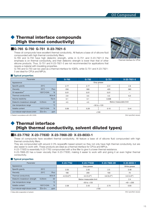# ◆ Thermal interface compounds (High thermal conductivity)

### **■G-765 G-750 G-751 X-23-7921-5**

These oil compounds have excellent thermal conductivity. All feature a base oil of silicone fluid compounded with high thermal conductivity fillers.

G-765 and G-750 have high dielectric strength, while in G-751 and X-23-7921-5 the emphasis is on thermal conductivity, and their dielectric strength is lower than that of other silicone products. Thus, G-751 and X-23-7921-5 are not recommended for applications that require a material with insulating properties.

G-765 and G-750 can be used as a thermal interface for IGBTs, while G-751 and X-23-7921- 5 are ideal for CPUs and MPUs.

#### ■ **Typical properties**

| Parameter                             |                              | G-765 | G-750           | G-751 | X-23-7921-5            |
|---------------------------------------|------------------------------|-------|-----------------|-------|------------------------|
| Appearance                            |                              |       | Gray grease     |       |                        |
| Specific gravity                      | $25^{\circ}$ C               | 2.77  | 2.77            | 2.51  | 2.8                    |
| <b>Viscosity</b>                      | $25^{\circ}$ C<br>Pa·s       | 250   | 300             | 420   | 363                    |
| Oil separation <sup>*</sup>           | %<br>150°C×24h               | 0.01  | 0.01            | 0.01  |                        |
| Thermal conductivity                  | W/m·K                        | 2.9   | 3.5             | 4.5   | 6.0                    |
| Volume resistivity                    | $T\Omega \cdot m$            | 0.1   | 0.1             | 0.008 |                        |
| Dielectric breakdown strength         | kV<br>$0.25$ mm              | 4.5   | 4.5             |       | Below measurable limit |
| Use temperature range                 | $^{\circ}$ C                 |       | $-50$ to $+120$ |       |                        |
| Volatile content                      | %<br>150°C×24h               | 0.06  | 0.28            | 0.10  | 0.44                   |
| Low-molecular-weight siloxane content | $\Sigma D_3 - D_{10}$<br>ppm |       | $≤100$          |       |                        |
|                                       |                              |       |                 |       |                        |

\* Tested in accordance with JIS K 2220.

#### (Not specified values)

### **Thermal interface** (High thermal conductivity, solvent diluted types)

### **■X-23-7762 X-23-7783D X-23-7868-2D X-23-8033-1**

These oil compounds have excellent thermal conductivity. All feature a base oil of silicone fluid compounded with high thermal conductivity fillers.

They are compounded with around 2-3% isoparaffin based solvent so they not only have high thermal conductivity, but are also easier to work with. These products are ideal as a thermal interface for CPUs and MPUs.

X-23-7783D is essentially X-23-7762 compounded with a fine filler to give it a lower thermal resistance.

X-23-7868-2D has a lower viscosity than X-23-7783D, making it easier to work with and giving it an even higher thermal conductivity.

#### ■ **Typical properties**

| Parameter                             |                                                 | X-23-7762   | X-23-7783D             | X-23-7868-2D | X-23-8033-1  |
|---------------------------------------|-------------------------------------------------|-------------|------------------------|--------------|--------------|
| Appearance                            |                                                 |             | Gray grease            |              | White grease |
| Specific gravity                      | $25^{\circ}$ C                                  | 2.55        | 2.55                   | 2.5          | 3.48         |
| <b>Viscosity</b>                      | $25^{\circ}$ C<br>Pa·s                          | 180         | 200                    | 100          | 70           |
| Thermal conductivity                  | W/m·K                                           | $4.0(6.0*)$ | $3.5(5.5*)$            | $3.6(6.2*)$  | $3.3(4.0*)$  |
| Dielectric breakdown strength         | kV<br>$0.25$ mm                                 |             | Below measurable limit |              | 2.4          |
| Use temperature range                 | $^{\circ}C$                                     |             | $-50$ to $+120$        |              | $-40$ ~+200  |
| Volatile content                      | %<br>$150^{\circ}$ C $\times$ 24h               | 2.58        | 2.43                   | 2.70         | 0.93         |
| Low-molecular-weight siloxane content | $\Sigma$ D <sub>3</sub> -D <sub>10</sub><br>ppm |             |                        | $≤100$       |              |

\* Value after evaporation of solvent.



Thermal interface for CPUs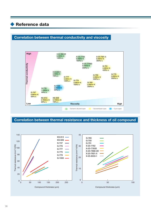### ◆ Reference data

### **Correlation between thermal conductivity and viscosity**



### **Correlation between thermal resistance and thickness of oil compound**

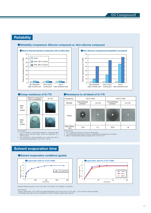### **Reliability**

After 100 cycles

After 500 cycles

[Test method]<br>1 A 0.1cc s

#### ●**Reliability comparison: Silicone compound vs. Non-silicone compound**



G-775



#### **Creep resistance of G-775 Altering Presistance to oil-bleed of G-776**

| Conditions           |                         | $23^{\circ}$ C $\times$ 64h | $125^{\circ}$ C $\times$ 64h |         |  |
|----------------------|-------------------------|-----------------------------|------------------------------|---------|--|
| Sample               | Conventional<br>product | G-776                       | Conventional<br>product      | $G-776$ |  |
| Photo                |                         |                             |                              |         |  |
| Bleed distance<br>mm | 10.0                    | 1.5                         | 20.6                         | 1.6     |  |
| _____                |                         |                             |                              |         |  |

[Test method]

1 A 0.1 g sample is placed on a piece of frosted glass.<br>2 The oil bleed distance (radius of circle) is measured and oil separation is evaluated.<br>3 Bleed is measured after keeping samples at 23 °C and 125 °C.

0.3mm spacer. 2 This test piece is stood vertically, and a heat cycle test is conducted (cycling between -40 °C and +125 °C).

1 A 0.1cc sample is sandwiched between a microscope slide (glass) and an aluminum plate, which are separated by a

### **Solvent evaporation time**

Silicone compound from a competitor

#### ●**Solvent evaporation conditions (guide)**



※Solvent diluted products: G-776, X-23-7762, X-23-7783D, X-23-7868-2D, X-23-8033-1

[Test method] · Using a metal screen, X-23-7783D was applied (application size: 25 mm long × 25 mm wide \_ 120 μm thick) to aluminum plates.

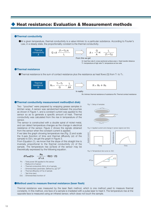### ◆ Heat resistance: Evaluation & Measurement methods

#### ●**Thermal conductivity**

●At a given temperature, thermal conductivity is a value intrinsic to a particular substance. According to Fourier's Law, in a steady state, the proportionality constant is the thermal conductivity.



Q: heat flow rate A: cross-sectional surface area L: Heat transfer distance T1: temperature at high side T2: temperature at low side

#### ●**Thermal resistance**

 $\bullet$ Thermal resistance is the sum of contact resistance plus the resistance as heat flows (Q) from T<sub>1</sub> to T<sub>2</sub>.



R0: Intrinsic thermal resistance of substance RS: Thermal contact resistance

#### ●**Thermal conductivity measurement method(hot disk)**

Two "pouches" were prepared by wrapping grease samples in kitchen wrap. A sensor was sandwiched between the pouches as shown in Figure 1, and a constant current was applied to the sensor so as to generate a specific amount of heat. Thermal conductivity was calculated from the rise in temperature of the sensor.

The sensor is constructed with a double spiral of nickel metal, and can detect temperature changes as the change in electrical resistance of the sensor. Figure 2 shows the signals obtained from the sensor when the constant current is applied.

If we take the graph showing temperature rise (Fig. 2) and scale the X-axis (function of time and thermal diffusivity  $(\alpha)$  of the sample) to  $D(\tau)$ , we get the graph in Figure 3.

From Equation (1), we know that the slope of this straight line is inversely proportional to the thermal conductivity  $(\lambda)$  of the sample. The temperature rise (ΔTave) of the sensor may be theoretically expressed by the following equation.

$$
\Delta T_{\text{ave}}(\tau) = \frac{P\sigma}{\pi^{\frac{3}{2}}r\lambda} \cdot D(\tau) \cdots (1)
$$

- Po : Total power (W) applied to the sensor
- r : Radius (m) of sensor
- λ : Thermal conductivity (W/m\_K) of sample
- τ : Dimensionless parameter, defined by  $\sqrt{\alpha \cdot t}/r^2$
- $\alpha$  : Thermal diffusivity (m<sup>2</sup>/s) of sample
- t : Test time (sec)
- $D(\tau)$ : Dimensionless function of

Fig. 1: Setup of samples

Fig. 2: Applied current and change in sensor signal over time



Fig. 3: Temperature rise curve vs.  $D(\tau)$ 



#### ●**Method used to measure thermal resistance (laser flash)**

Thermal resistance was measured by the laser flash method, which is one method used to measure thermal constants. In this method, one face of a sample is irradiated with a pulse laser to heat it. The temperature rise at the opposite face is measured using an infrared sensor, which does not touch the sample.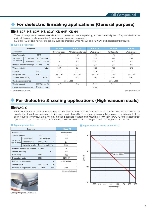# ◆ For dielectric & sealing applications (General purpose)

### **■KS-62F KS-62M KS-63W KS-64F KS-64**

These oil compounds have superior electrical properties and water repellency, and are chemically inert. They are ideal for use as insulating and sealing materials for electric and electronic equipment.

KS-63W, KS-64 and KS-64F are general purpose products, while KS-62F and KS-62M are heat resistant products.

#### **Typical properties**

|                                       | Parameter      |                              | <b>KS-62F</b>        | <b>KS-62M</b>            | <b>KS-63W</b>        | <b>KS-64F</b>      | <b>KS-64</b>         |
|---------------------------------------|----------------|------------------------------|----------------------|--------------------------|----------------------|--------------------|----------------------|
| Appearance                            |                |                              | Off-white paste      | White translucent grease | White grease         | White paste        | White grease         |
| Specific gravity                      |                | $25^{\circ}$ C               | 1.13                 | 1.18                     | 1.02                 | 1.01               | 1.05                 |
| <b>JIS K2220</b>                      | Consistency    | 25°C/worked                  |                      | 229                      | 225                  | 385                | 246                  |
| Test method                           | Oil separation | 200°C×24h %                  |                      | 1.3                      | $2.9*1$              | $18*1$             | 5.8                  |
| Dielectric breakdown strength         |                | kV<br>$0.1$ mm               | 3.4                  | 3.5                      | 3.8                  | 3.6                | 4.0                  |
| Volume resistivity                    |                | $T\Omega \cdot m$            | 0.15                 | 56                       | 130                  | 230                | 620                  |
| Permittivity                          |                | 60Hz                         | 2.96                 | 2.88                     | 2.84                 | 2.80               | 2.80                 |
| <b>Dissipation factor</b>             |                | 60Hz                         | $2.5 \times 10^{-4}$ | $3.2 \times 10^{-4}$     | $2.4 \times 10^{-4}$ | $1 \times 10^{-4}$ | $2.3 \times 10^{-4}$ |
| Thermal conductivity                  |                | W/m·K                        | 0.17                 | 0.20                     | 0.19                 | 0.17               | 0.19                 |
| Use temperature range                 |                | $^{\circ}C$                  |                      | $-30$ to $+250$          |                      | $-50$ to $+200$    |                      |
| Volatile content                      |                | 200°C×24h<br>$\%$            | $≤1.0$               | 0.3                      | $0.1*1$              | $0.1*1$            | 0.1                  |
| Low-molecular-weight siloxane content |                | $\Sigma D_3 - D_{10}$<br>ppm |                      |                          | $≤100$               |                    |                      |

\*1 Measured at 150 °C×24 h.

(Not specified values)

# For dielectric & sealing applications (High vacuum seals)

#### **■HIVAC-G**

HIVAC-G features a base oil of specially refined silicone fluid, compounded with silica powder. This oil compound has excellent heat resistance, oxidative stability and chemical stability. Through an intensive refining process, volatile content has been reduced to very low levels, thereby making it possible to attain high vacuums of 10<sup>-6</sup> Torr. HIVAC-G forms exceptionally tight seals on gaskets and sliding mechanisms, and is widely used as a sealing compound for high vacuum devices.

(Not specified values)

#### **Typical properties**

|                                 | Parameter                             | <b>HIVAC-G</b>                           |                   |                      |
|---------------------------------|---------------------------------------|------------------------------------------|-------------------|----------------------|
| Appearance                      |                                       |                                          |                   | White grease         |
| Specific gravity                |                                       | $25^{\circ}$ C                           |                   | 1.03                 |
|                                 | Consistency                           | 25°C/worked                              |                   | 209                  |
| <b>JIS K2220</b><br>Test method | Oil separation                        | 200°C×24h                                | $\%$              | 0.1                  |
|                                 | Copper strip corrosion                | Room temp.×24h                           |                   | Pass                 |
|                                 | Dielectric breakdown strength         | 0.1 <sub>mm</sub>                        | kV                | 4                    |
| Volume resistivity              |                                       |                                          | $T\Omega \cdot m$ | 900                  |
| Permittivity                    |                                       | 60Hz                                     |                   | 2.82                 |
| <b>Dissipation factor</b>       |                                       | 60Hz                                     |                   | $2.2 \times 10^{-4}$ |
|                                 | Use temperature range                 |                                          | $^{\circ}C$       | $-50$ to $+200$      |
| Volatile content                |                                       | 200°CX24h                                | $\%$              | 0.1                  |
|                                 | Low-molecular-weight siloxane content | $\Sigma$ D <sub>3</sub> -D <sub>10</sub> | ppm               | $<$ 100              |



Sealing of high vacuum devices

#### ■**Vapor pressure curve of HIVAC-G**

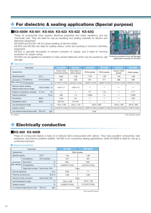# For dielectric & sealing applications (Special purpose)

### **■KS-650N KS-651 KS-65A KS-623 KS-622 KS-63G**

These oil compounds have superior electrical properties and water repellency, and are chemically inert. They are ideal for use as insulating and sealing materials for electric and electronic equipment.

KS-650N and KS-651 will not cause swelling of silicone rubber.

KS-65A and KS-623 are ideal for sealing valves, cocks and packing in common chemistry equipment.

KS-622 is specially formulated to prevent corrosion of copper, and is ideal for terminal protection for copper wiring.

KS-63G can be applied to insulators to help prevent flashover which can be caused by salt Protecting insulators from salt damage damage.



(application example for KS-63G)

#### ■ **Typical properties**

|                                      | Parameter                                                 |                                    |                                   | <b>KS-650N</b>                    | <b>KS-651</b>        | <b>KS-65A</b>                                                      | <b>KS-623</b>                     | <b>KS-622</b>   | <b>KS-63G</b>                     |
|--------------------------------------|-----------------------------------------------------------|------------------------------------|-----------------------------------|-----------------------------------|----------------------|--------------------------------------------------------------------|-----------------------------------|-----------------|-----------------------------------|
| Appearance                           |                                                           | Creamy white<br>translucent grease | Pale yellow to<br>yellow grease   | White grease                      | White grease         | Creamy white<br>grease                                             | Green grease                      |                 |                                   |
| Specific gravity                     |                                                           | $25^{\circ}$ C                     |                                   | 0.98                              | 1.02                 | 1.04                                                               | 1.03                              | 1.03            | 1.06                              |
| <b>JIS K2220</b>                     | Consistency                                               | 25°C/worked                        |                                   | 263                               | 258                  | 221                                                                | 211                               | 268             | 209                               |
| <b>Test method</b>                   | Oil separation                                            | $\frac{0}{6}$                      |                                   | $0.7(105^{\circ}$ C $\times$ 24h) | 2.0(150°C×24h)       | .1(200°C×24h)                                                      | 1.9(200°C×24h)                    | 2.74(150°C×24h) | $0.8(150^{\circ}$ C $\times$ 24h) |
|                                      | Silicone rubber swelling<br>(Weight change/volume change) | 105°C×500h %                       |                                   | $+0.5/+1.1$                       | $+0.6/+1.3$          |                                                                    |                                   |                 |                                   |
|                                      | Dielectric breakdown strength                             | 0.1 <sub>mm</sub>                  | kV                                |                                   |                      | 3.7                                                                | $1.5 \leq$                        |                 | $11*1$                            |
| Volume resistivity                   |                                                           | $T\Omega \cdot m$                  |                                   | 208                               | 1.3                  | 2,600                                                              | $1 \leq$                          |                 | 2,300                             |
| Permittivity                         |                                                           | 60Hz                               |                                   | 2.48                              | 2.6                  |                                                                    |                                   |                 | 2.82                              |
| <b>Dissipation factor</b>            |                                                           | 60Hz                               |                                   | $3.3 \times 10^{-4}$              | $4.7 \times 10^{-4}$ |                                                                    |                                   |                 |                                   |
| $^{\circ}C$<br>Use temperature range |                                                           |                                    | $-10$ to $+100$                   | $-50$ to $+170$                   | $-50$ to $+200$      |                                                                    | $-50$ to $+160$                   | $-50$ to $+200$ |                                   |
| $\frac{0}{6}$<br>Volatile content    |                                                           | $0.5(105^{\circ}$ C $\times$ 24h)  | $0.1(150^{\circ}$ C $\times$ 24h) | $0.1(200^{\circ}$ C $\times$ 24h) |                      | $0.2(200^{\circ}$ C $\times$ 24h) $\vert$ 0.44(150°C $\times$ 24h) | $0.1(150^{\circ}$ C $\times$ 24h) |                 |                                   |
|                                      | Low-molecular-weight siloxane content                     | $\Sigma D_3 - D_{10}$              | ppm                               |                                   |                      | $≤100$                                                             |                                   |                 |                                   |

※1: 0.25mm

(Not specified values)

# **Electrically conductive**

#### **■KS-660 KS-660B**

These oil compounds feature a base oil of silicone fluid compounded with carbon. They have excellent conductivity, heat resistance, and thermo-oxidative stability. KS-660 is for conductive sealing applications, while KS-660B is ideal for use as a conductive lubricant.

#### ■ **Typical properties**

|                                      | Parameter                               |                                                 | <b>KS-660</b>                     | <b>KS-660B</b>                    |  |
|--------------------------------------|-----------------------------------------|-------------------------------------------------|-----------------------------------|-----------------------------------|--|
| Appearance                           |                                         |                                                 | <b>Black</b> grease               |                                   |  |
| Specific gravity<br>$25^{\circ}$ C   |                                         |                                                 | 1.04                              | 1.00                              |  |
|                                      | Consistency                             | 25°C/worked                                     | 247                               | 301                               |  |
| <b>JIS K2220</b>                     | Drop point                              | $^{\circ}C$                                     | $200+$                            | $200+$                            |  |
| Test method                          | Oil separation                          | $\frac{0}{6}$                                   | 8.0(200°C×24h)                    | 3.9(150°C×24h)                    |  |
|                                      | Copper strip corrosion Room temp. × 24h |                                                 | Pass                              |                                   |  |
| Volume resistivity                   |                                         | $\Omega$ ·m                                     | 0.83                              | 11                                |  |
| Thermal conductivity                 |                                         | W/m·K                                           | 0.38                              | 0.38                              |  |
|                                      | Aluminum strip corrosion                | Room temp. × 24h                                | Pass                              |                                   |  |
| $^{\circ}C$<br>Use temperature range |                                         |                                                 | $-50$ to $+200$                   | $-50$ to $+150$                   |  |
| Volatile content                     |                                         | $\frac{0}{0}$                                   | $0.2(200^{\circ}$ C $\times$ 24h) | $0.1(150^{\circ}$ C $\times$ 24h) |  |
|                                      | Low-molecular-weight siloxane content   | $\Sigma$ D <sub>3</sub> -D <sub>10</sub><br>ppm | $≤100$                            |                                   |  |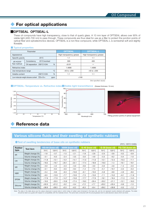# ◆ For optical applications

### **■OPTSEAL OPTSEAL-L**

These oil compounds have high transparency, close to that of quartz glass. A 10 mm layer of OPTSEAL allows over 90% of visible light (400-700 nm) to pass through. These compounds are thus ideal for use as a filler to protect the junction points of optical fiber and optoelectronics devices. OPTSEAL is a non-flow compound, while OPTSEAL-L is somewhat soft and slightly flowable.

#### ■ **Typical properties**

|                                                                  | Parameter                |                |             | <b>OPTSEAL</b>           | <b>OPTSEAL-L</b>         |
|------------------------------------------------------------------|--------------------------|----------------|-------------|--------------------------|--------------------------|
| Appearance                                                       |                          |                |             | High transparency grease | High transparency grease |
| Specific gravity                                                 |                          | $25^{\circ}$ C |             | 1.1                      | 1.1                      |
| <b>JIS K2220</b>                                                 | Consistency              | 25°C/worked    |             | 300                      | 400                      |
| Test method                                                      | Oil separation 200°C×24h |                | %           | < 0.01                   |                          |
| Refractive index                                                 |                          |                |             | 1.4690                   | 1.4690                   |
| Use temperature range                                            |                          |                | $^{\circ}C$ | $-40$ to $+200$          | $-40$ to $+200$          |
| Volatile content<br>200°C×24h                                    |                          |                | %           | 1.1                      | 1.1                      |
| Low-molecular-weight siloxane content $\Sigma D_3-D_{10}$<br>ppm |                          |                |             | < 100                    |                          |

(Not specified values)

#### ■**OPTSEAL: Temperature vs. Refractive index**■Visible light transmittance (Grease thickness: 10 mm)







Filling junction points of optical equipment

# Reference data

### **Various silicone fluids and their swelling of synthetic rubbers**

#### ● Test of swelling tendencies of base oils on synthetic rubbers (70°C, 120°C×240h)

|               | (100, 1200)       |                  |                 |                           |                 |                 |                 |                 |                 |                   |                 |
|---------------|-------------------|------------------|-----------------|---------------------------|-----------------|-----------------|-----------------|-----------------|-----------------|-------------------|-----------------|
| <b>Rubber</b> | <b>Test item</b>  | KS-64 (base oil) |                 | (base oil)<br><b>650N</b> |                 | G-40 (base oil) |                 | G-30 (base oil) |                 | FG-720 (base oil) |                 |
| type          |                   | $70^{\circ}$ C   | $120^{\circ}$ C | $70^{\circ}$ C            | $120^{\circ}$ C | $70^{\circ}$ C  | $120^{\circ}$ C | $70^{\circ}$ C  | $120^{\circ}$ C | $70^{\circ}$ C    | $120^{\circ}$ C |
| IIR           | Weight change (%) | $-1.8$           | $-3.7$          | $-1.5$                    | $-2.1$          | $-1.8$          | $-2.8$          | $-2.0$          | $-3.6$          | $-0.2$            | $-0.9$          |
|               | Volume change (%) | $-3.1$           | $-6.3$          | $-2.4$                    | $-3.5$          | $-3.0$          | $-4.9$          | $-3.3$          | $-6.2$          | $-0.4$            | $-1.6$          |
| <b>CR</b>     | Weight change (%) | $-11.8$          | $-12.1$         | $-13.1$                   | $-14.1$         | $-11.0$         | $-11.6$         | $-12.1$         | $-12.4$         | $-10.3$           | $-11.1$         |
|               | Volume change (%) | $-18.5$          | $-19.7$         | $-20.1$                   | $-22.1$         | $-17.4$         | $-18.9$         | $-19.0$         | $-1.4$          | $-16.1$           | $-18.1$         |
| <b>NR</b>     | Weight change (%) | $-3.0$           | $-4.2$          | $-2.3$                    | $-5.0$          | $-0.6$          | $-3.0$          | $-3.0$          | $-4.6$          | $-1.4$            | $-2.0$          |
|               | Volume change (%) | $-5.1$           | $-9.4$          | $-3.5$                    | $-9.4$          | $-1.4$          | $-7.3$          | $-5.1$          | $-10.1$         | $-2.2$            | $-5.3$          |
| <b>NBR</b>    | Weight change (%) | $-5.4$           | $-9.6$          | $-6.3$                    | $-10.8$         | $-6.1$          | $-10.0$         | $-5.8$          | $-9.8$          | $-4.9$            | $-8.6$          |
|               | Volume change (%) | $-6.5$           | $-12.9$         | $-7.7$                    | $-13.9$         | $-7.3$          | $-13.0$         | $-7.1$          | $-13.2$         | $-6.1$            | $-11.6$         |
| <b>EPDM</b>   | Weight change (%) | $-17.6$          | $-17.9$         | $-14.7$                   | $-15.8$         | $-17.7$         | $-17.9$         | $-18.1$         | $-18.4$         | $-11.3$           | $-14.3$         |
|               | Volume change (%) | $-19.5$          | $-20.5$         | $-15.8$                   | $-17.4$         | $-19.5$         | $-20.4$         | $-20.2$         | $-21.1$         | $-12.1$           | $-16.3$         |
| Silicone      | Weight change (%) | $+32.0$          | $+31.2$         | $-0.2$                    | $-0.4$          | $+7.2$          | $+7.7$          | $+33.2$         | $+33.4$         | $-0.6$            | $-1.5$          |
|               | Volume change (%) | $+38.9$          | $+38.5$         | $+0.3$                    | $+0.2$          | $+8.3$          | $+9.4$          | $+39.2$         | $+39.8$         | $-0.5$            | $-1.2$          |

Note: The data in the table above are the values observed in severe tests in which strips of rubber were immersed in the base oils, and do not represent results obtained with greases. The table should be taken as a quide with respect to compatibility with the materials shown. The same tests conducted with the actual greases tend to yield absolute values which are lower.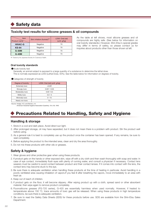# ◆ Safety data

### **Toxicity test results for silicone greases & oil compounds**

| Item<br>Product name | Skin irritation (human)*1 | LD50: Oral (rat)<br>(unit: g/kg) |  |
|----------------------|---------------------------|----------------------------------|--|
| <b>HIVAC-G</b>       | Negative                  | 5<                               |  |
| $KS-64$              | Negative                  | 5<                               |  |
| $G-30M$              | Negative                  | 5<                               |  |
| <b>G-40M</b>         | Negative                  | 5<                               |  |

As the table at left shows, most silicone greases and oil compounds are highly safe. (See below for information on oral toxicity standards.) However, Shin-Etsu's special grades may differ in terms of safety, so please contact us for inquiries about products other than those shown at left.

\*1 Tested by the Japanese Society for Cutaneous Health.

#### **Oral toxicity standards**

●Acute toxicity test

Generally, an animal subject is exposed to a large quantity of a substance to determine the lethal dose. This is normally expressed as LD50 (Lethal Dose, 50%). See the table below for information on degrees of toxicity.

●Categories of strength of toxicity

| Degree of toxicity     | LD50: Oral (rat) (unit: g/kg) |  |  |  |
|------------------------|-------------------------------|--|--|--|
| <b>Extremely toxic</b> | < 0.001                       |  |  |  |
| Strongly toxic         | $0.001 - 0.05$                |  |  |  |
| Moderately toxic       | $0.05 - 0.5$                  |  |  |  |
| Mildly toxic           | $0.5 - 5$                     |  |  |  |
| Minimally toxic        | $5 - 15$                      |  |  |  |
| Nearly non-toxic       | 15<                           |  |  |  |

Source: Hodge, H.G. and Sterner, J.H.

: American Industrial Hygiene Association Quarterly, 10:4, 93, 1943

# **Precautions Related to Handling, Safety and Hygiene**

### **Handling & storage**

- 1. Store in a cool and dark place. Avoid direct sun light.
- 2. After prolonged storage, oil may have separated, but it does not mean there is a problem with product. Stir the product well before using.
- 3. As a general rule it is best to completely use up the product once the container has been opened. If any remains, be sure to seal completely.
- 4. Before applying the product to the intended area, clean and dry the area thoroughly.
- 5. Do not mix these products with other oils or greases.

### **Safety & hygiene**

- 1. Wear gloves and other protective gear when using these products.
- 2. If product gets on the hands or other exposed skin, wipe off with a dry cloth and then wash thoroughly with soap and water. In case of eye contact, immediately flush eyes with plenty of running water, and consult a physician if necessary. Contact lens wearers must be careful to avoid contact between product and their contact lenses. If it comes into contact with the lens, the contact lens may become stuck to the eye.
- 3. Be sure there is adequate ventilation when handling these products at the time of heating in particular. Avoid handling in a poorly ventilated area causing inhalation of vapors.If you feel ill after breathing the vapors, move immediately to an area with fresh air.
- 4. Keep out of reach of children.
- 5. If product gets on the floor, it will become slippery. After wiping product up with a cloth, spread sand or other absorbent material, then wipe again to remove product completely.
- 6. Fluorosilicone greases (FG-720 series), G-420 are essentially harmless when used normally. However, if heated to temperatures above 150 °C, trace amounts of toxic gas will be released. When using these products in high temperature conditions, be sure there is adequate ventilation.
- 7. Be sure to read the Safety Data Sheets (SDS) for these products before use. SDS are available from the Shin-Etsu Sales Department.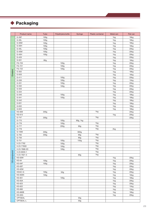# ◆ Packaging

|                | Product name | Tube             | Polyethylene bottle | Syringe  | <b>Plastic container</b> | Metal can | Pail can |
|----------------|--------------|------------------|---------------------|----------|--------------------------|-----------|----------|
| G-30F          |              | 100 <sub>g</sub> |                     |          |                          | 1kg       | 18kg     |
| G-30L          |              | 100g             |                     |          |                          | 1kg       | 18kg     |
| $G-30M$        |              | 100g             |                     |          |                          | 1kg       | 18kg     |
| G-30H          |              | 100g             |                     |          |                          | 1kg       | 18kg     |
| $G-40L$        |              | 100g             |                     |          |                          | 1kg       | 20kg     |
| G-40M          |              | 100g             |                     |          |                          | 1kg       | 20kg     |
| $G-40H$        |              | 100g             |                     |          |                          | 1kg       | 20kg     |
| $G-420$        |              |                  |                     |          |                          | 1kg       | 20kg     |
| $G-501$        |              | 80g              |                     |          |                          | 1kg       | 16kg     |
| FG-720         |              |                  | 100 <sub>g</sub>    |          |                          | 1kg       | 20kg     |
| FG-721         |              |                  | 100g                |          |                          | 1kg       | 20kg     |
| FG-722         |              |                  | 100g                |          |                          | 1kg       | 20kg     |
| $G-302$        |              |                  |                     |          |                          | 1kg       | 18kg     |
| $G-503$        |              |                  |                     |          |                          | 1kg       | 16kg     |
| $G-411$        |              |                  | 100g                |          |                          | 1kg       | 20kg     |
| G-330          |              |                  | 100g                |          |                          | 1kg       | 15kg     |
| $G-331$        |              |                  | 100g                |          |                          | 1kg       | 20kg     |
| G-332          |              |                  | 100 <sub>g</sub>    |          |                          | 1kg       | 20kg     |
| G-333          |              |                  |                     |          |                          | 1kg       | 20kg     |
| G-334          |              |                  |                     |          |                          | 1kg       | 20kg     |
| $G - 340$      |              |                  | 100g                |          |                          | 1kg       | 18kg     |
| $G-341$        |              |                  | 100g                |          |                          | 1kg       | 18kg     |
| $G-342$        |              |                  |                     |          |                          | 1kg       | 18kg     |
| G-631          |              |                  |                     |          |                          | 1kg       | 18kg     |
| G-632          |              |                  |                     |          |                          | 1kg       | 18kg     |
| G-633          |              |                  |                     |          |                          | 1kg       | 18kg     |
| KS-609         |              | 200g             |                     |          | 1kg                      |           | 20kg     |
| KS-613         |              |                  |                     |          |                          | 1kg       | 20kg     |
| $G-747$        |              | 200g             |                     |          | 1kg                      |           | 20kg     |
| $G-775$        |              |                  | 100g                | 90g, 1kg |                          |           |          |
| G-776          |              |                  | 100g                |          | 1kg                      |           |          |
| $G-777$        |              |                  | 200g                | 90g      | 1kg                      |           |          |
| G-779          |              |                  |                     |          | 1kg                      | 2kg       |          |
| G-1000         |              | 200g             |                     | 900g     |                          |           |          |
| $G-765$        |              | 200g             |                     | 90g      | 1kg                      |           |          |
| $G-750$        |              |                  |                     | 90g      | 1kg                      |           |          |
| $G-751$        |              |                  | 100g                | 150g     | 1kg                      |           |          |
| X-23-7762      |              |                  | 100g                |          | 1kg                      |           |          |
| X-23-7783D     |              |                  | 100g                |          | 1kg                      |           |          |
| X-23-7868-2D   |              |                  | 100g                |          | 1kg                      |           |          |
| X-23-8033-1    |              |                  |                     |          | 1kg                      |           |          |
| X-23-7921-5    |              |                  |                     | 60g      | 1kg                      |           |          |
| <b>KS-63W</b>  |              |                  |                     |          |                          | 1kg       | 20kg     |
| <b>KS-64</b>   |              | 100g             |                     |          |                          | 1kg       | 20kg     |
| KS-64F         |              | 100g             |                     |          |                          | 1kg       | 20kg     |
| KS-62F         |              |                  |                     |          |                          | 1kg       | 20kg     |
| <b>KS-62M</b>  |              |                  |                     |          |                          | 1kg       | 20kg     |
| HIVAC-G        |              | 100g             | 50g                 |          |                          | 1kg       | 20kg     |
| <b>KS-650N</b> |              | 100g             |                     |          |                          | 1kg       | 16kg     |
| KS-651         |              |                  | 100g                |          |                          | 1kg       | 18kg     |
| KS-65A         |              |                  |                     |          |                          | 1kg       | 20kg     |
| KS-623         |              |                  |                     |          |                          | 1kg       | 20kg     |
| KS-622         |              |                  |                     |          |                          | 1kg       | 15kg     |
| KS-660         |              |                  |                     |          |                          | 1kg       | 15kg     |
| <b>KS-660B</b> |              |                  |                     |          |                          | 1kg       | 18kg     |
| <b>KS-63G</b>  |              |                  |                     |          |                          | 1kg       | 20kg     |
| OPTSEAL        |              |                  |                     | 50g      |                          |           |          |
| OPTSEAL-L      |              |                  |                     | 50g      |                          |           |          |
|                |              |                  |                     |          |                          |           |          |